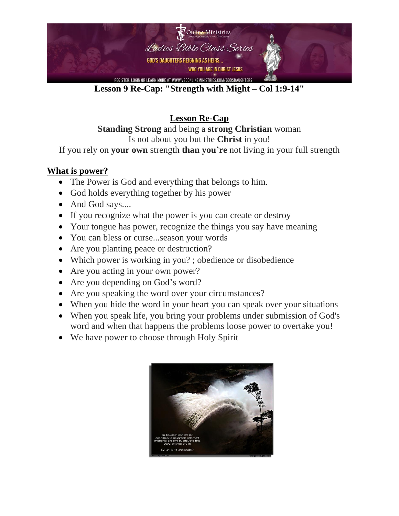

**Lesson 9 Re-Cap: "Strength with Might – Col 1:9-14"**

**Lesson Re-Cap Standing Strong** and being a **strong Christian** woman Is not about you but the **Christ** in you!

If you rely on **your own** strength **than you're** not living in your full strength

## **What is power?**

- The Power is God and everything that belongs to him.
- God holds everything together by his power
- And God says....
- If you recognize what the power is you can create or destroy
- Your tongue has power, recognize the things you say have meaning
- You can bless or curse...season your words
- Are you planting peace or destruction?
- Which power is working in you?; obedience or disobedience
- Are you acting in your own power?
- Are you depending on God's word?
- Are you speaking the word over your circumstances?
- When you hide the word in your heart you can speak over your situations
- When you speak life, you bring your problems under submission of God's word and when that happens the problems loose power to overtake you!
- We have power to choose through Holy Spirit

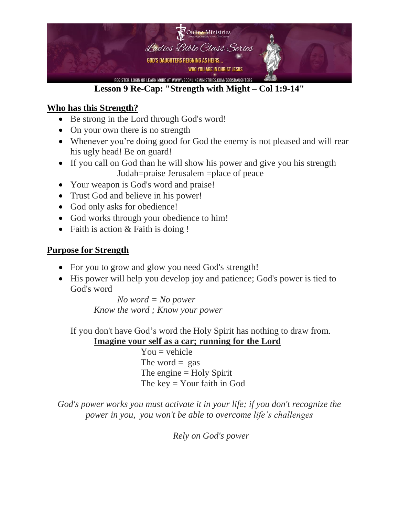

# **Lesson 9 Re-Cap: "Strength with Might – Col 1:9-14"**

## **Who has this Strength?**

- Be strong in the Lord through God's word!
- On your own there is no strength
- Whenever you're doing good for God the enemy is not pleased and will rear his ugly head! Be on guard!
- If you call on God than he will show his power and give you his strength Judah=praise Jerusalem =place of peace
- Your weapon is God's word and praise!
- Trust God and believe in his power!
- God only asks for obedience!
- God works through your obedience to him!
- Faith is action & Faith is doing !

### **Purpose for Strength**

- For you to grow and glow you need God's strength!
- His power will help you develop joy and patience; God's power is tied to God's word

*No word = No power Know the word ; Know your power*

If you don't have God's word the Holy Spirit has nothing to draw from.

**Imagine your self as a car; running for the Lord**

 $You = vehicle$ The word  $=$  gas The engine  $=$  Holy Spirit The key = Your faith in God

*God's power works you must activate it in your life; if you don't recognize the power in you, you won't be able to overcome life's challenges*

*Rely on God's power*